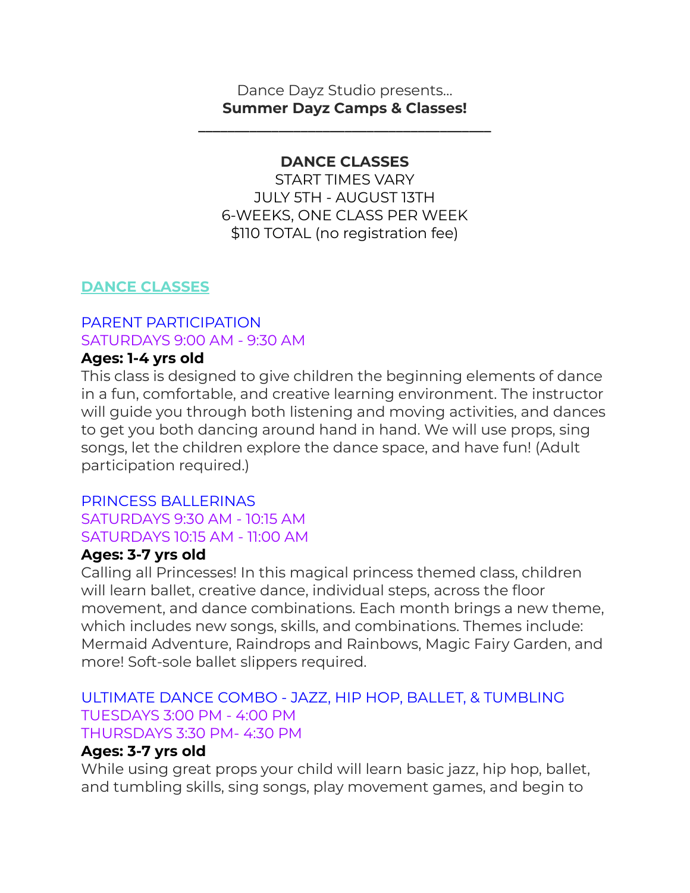### Dance Dayz Studio presents… **Summer Dayz Camps & Classes!**

**\_\_\_\_\_\_\_\_\_\_\_\_\_\_\_\_\_\_\_\_\_\_\_\_\_\_\_\_\_\_\_\_\_\_\_\_\_\_\_\_**

## **DANCE CLASSES**

START TIMES VARY JULY 5TH - AUGUST 13TH 6-WEEKS, ONE CLASS PER WEEK \$110 TOTAL (no registration fee)

## **DANCE CLASSES**

## PARENT PARTICIPATION SATURDAYS 9:00 AM - 9:30 AM

### **Ages: 1-4 yrs old**

This class is designed to give children the beginning elements of dance in a fun, comfortable, and creative learning environment. The instructor will guide you through both listening and moving activities, and dances to get you both dancing around hand in hand. We will use props, sing songs, let the children explore the dance space, and have fun! (Adult participation required.)

#### PRINCESS BALLERINAS SATURDAYS 9:30 AM - 10:15 AM SATURDAYS 10:15 AM - 11:00 AM

## **Ages: 3-7 yrs old**

Calling all Princesses! In this magical princess themed class, children will learn ballet, creative dance, individual steps, across the floor movement, and dance combinations. Each month brings a new theme, which includes new songs, skills, and combinations. Themes include: Mermaid Adventure, Raindrops and Rainbows, Magic Fairy Garden, and more! Soft-sole ballet slippers required.

### ULTIMATE DANCE COMBO - JAZZ, HIP HOP, BALLET, & TUMBLING TUESDAYS 3:00 PM - 4:00 PM THURSDAYS 3:30 PM- 4:30 PM

## **Ages: 3-7 yrs old**

While using great props your child will learn basic jazz, hip hop, ballet, and tumbling skills, sing songs, play movement games, and begin to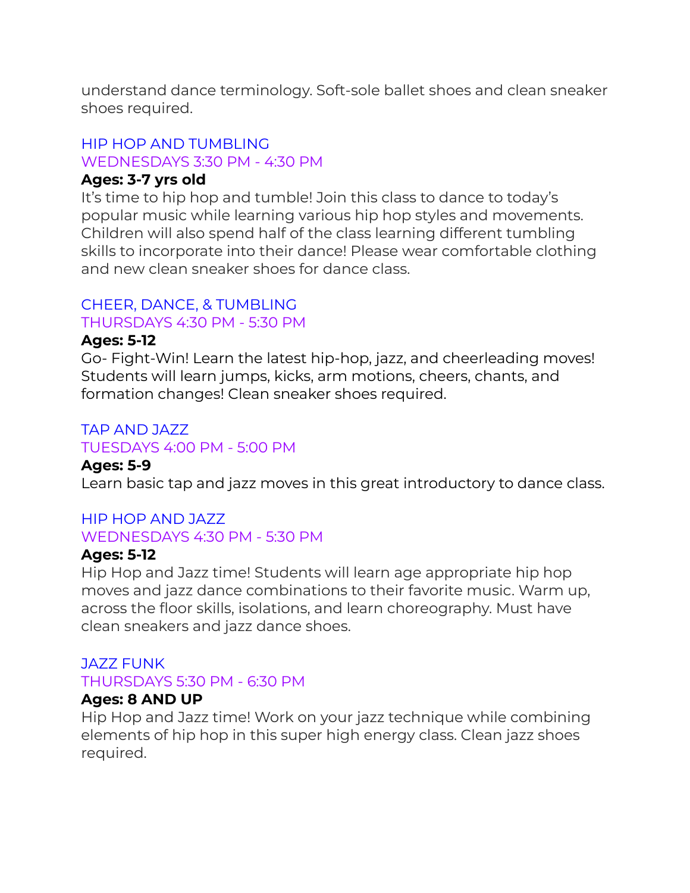understand dance terminology. Soft-sole ballet shoes and clean sneaker shoes required.

#### HIP HOP AND TUMBLING WEDNESDAYS 3:30 PM - 4:30 PM

### **Ages: 3-7 yrs old**

It's time to hip hop and tumble! Join this class to dance to today's popular music while learning various hip hop styles and movements. Children will also spend half of the class learning different tumbling skills to incorporate into their dance! Please wear comfortable clothing and new clean sneaker shoes for dance class.

## CHEER, DANCE, & TUMBLING

#### THURSDAYS 4:30 PM - 5:30 PM

### **Ages: 5-12**

Go- Fight-Win! Learn the latest hip-hop, jazz, and cheerleading moves! Students will learn jumps, kicks, arm motions, cheers, chants, and formation changes! Clean sneaker shoes required.

#### TAP AND JAZZ TUESDAYS 4:00 PM - 5:00 PM

## **Ages: 5-9**

Learn basic tap and jazz moves in this great introductory to dance class.

### HIP HOP AND JAZZ WEDNESDAYS 4:30 PM - 5:30 PM

## **Ages: 5-12**

Hip Hop and Jazz time! Students will learn age appropriate hip hop moves and jazz dance combinations to their favorite music. Warm up, across the floor skills, isolations, and learn choreography. Must have clean sneakers and jazz dance shoes.

## JAZZ FUNK

### THURSDAYS 5:30 PM - 6:30 PM

### **Ages: 8 AND UP**

Hip Hop and Jazz time! Work on your jazz technique while combining elements of hip hop in this super high energy class. Clean jazz shoes required.